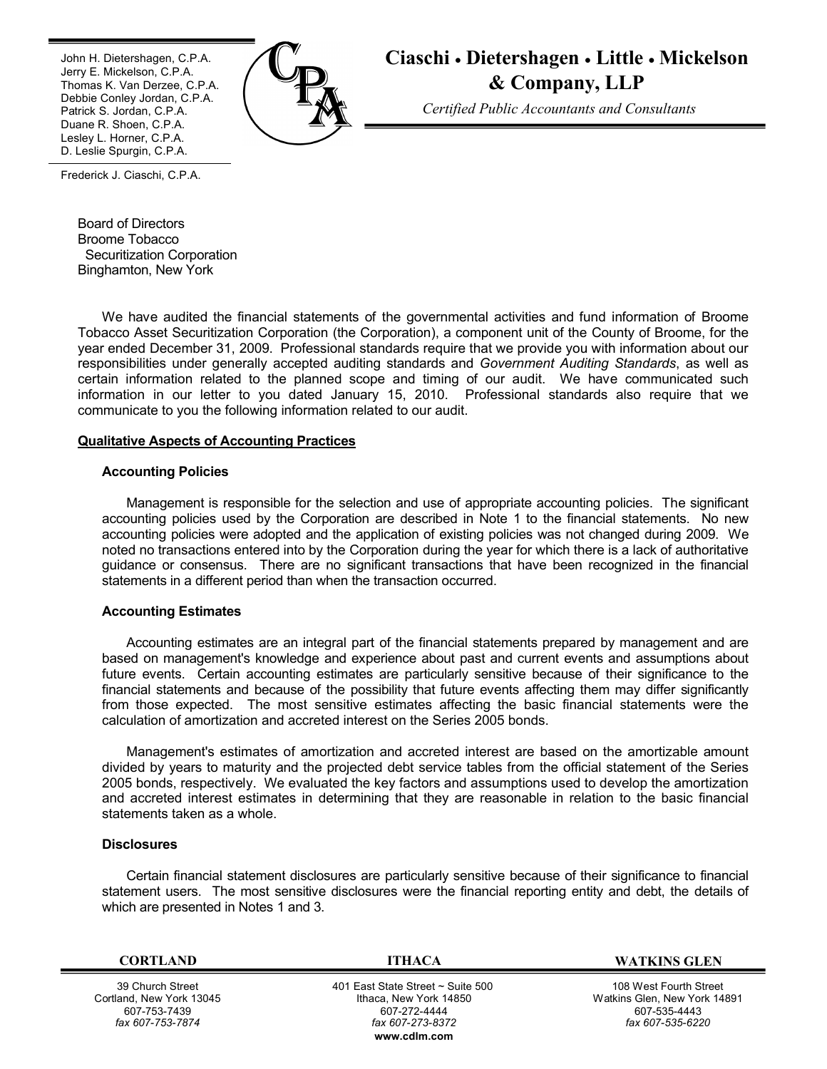٦ John H. Dietershagen, C.P.A. Jerry E. Mickelson, C.P.A. Thomas K. Van Derzee, C.P.A. Debbie Conley Jordan, C.P.A. Patrick S. Jordan, C.P.A. Duane R. Shoen, C.P.A. Lesley L. Horner, C.P.A. D. Leslie Spurgin, C.P.A.



# **Ciaschi Dietershagen Little Mickelson & Company, LLP**

*Certified Public Accountants and Consultants*

1 Frederick J. Ciaschi, C.P.A.

> Board of Directors Broome Tobacco Securitization Corporation Binghamton, New York

We have audited the financial statements of the governmental activities and fund information of Broome Tobacco Asset Securitization Corporation (the Corporation), a component unit of the County of Broome, for the year ended December 31, 2009. Professional standards require that we provide you with information about our responsibilities under generally accepted auditing standards and *Government Auditing Standards*, as well as certain information related to the planned scope and timing of our audit. We have communicated such information in our letter to you dated January 15, 2010. Professional standards also require that we communicate to you the following information related to our audit.

## **Qualitative Aspects of Accounting Practices**

## **Accounting Policies**

Management is responsible for the selection and use of appropriate accounting policies. The significant accounting policies used by the Corporation are described in Note 1 to the financial statements. No new accounting policies were adopted and the application of existing policies was not changed during 2009. We noted no transactions entered into by the Corporation during the year for which there is a lack of authoritative guidance or consensus. There are no significant transactions that have been recognized in the financial statements in a different period than when the transaction occurred.

## **Accounting Estimates**

Accounting estimates are an integral part of the financial statements prepared by management and are based on management's knowledge and experience about past and current events and assumptions about future events. Certain accounting estimates are particularly sensitive because of their significance to the financial statements and because of the possibility that future events affecting them may differ significantly from those expected. The most sensitive estimates affecting the basic financial statements were the calculation of amortization and accreted interest on the Series 2005 bonds.

Management's estimates of amortization and accreted interest are based on the amortizable amount divided by years to maturity and the projected debt service tables from the official statement of the Series 2005 bonds, respectively. We evaluated the key factors and assumptions used to develop the amortization and accreted interest estimates in determining that they are reasonable in relation to the basic financial statements taken as a whole.

#### **Disclosures**

Certain financial statement disclosures are particularly sensitive because of their significance to financial statement users. The most sensitive disclosures were the financial reporting entity and debt, the details of which are presented in Notes 1 and 3.

39 Church Street Cortland, New York 13045 607-753-7439 *fax 607-753-7874*

 401 East State Street ~ Suite 500 Ithaca, New York 14850 607-272-4444 *fax 607-273-8372* **w[ww.cdlm.com](www.cdlm.com)**

**CORTLAND ITHACA WATKINS GLEN**

108 West Fourth Street Watkins Glen, New York 14891 607-535-4443 *fax 607-535-6220*